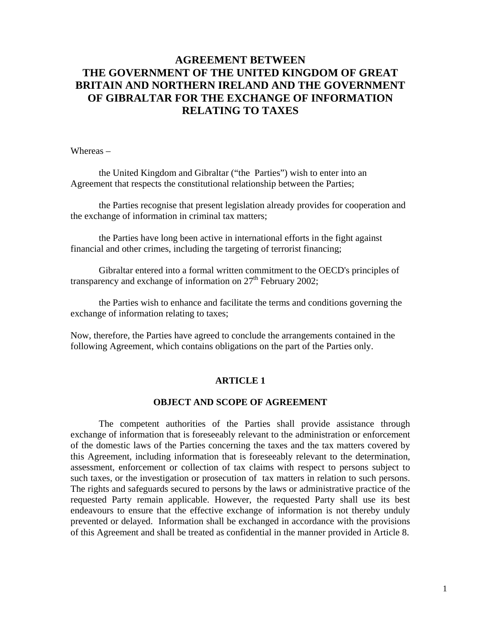# **AGREEMENT BETWEEN THE GOVERNMENT OF THE UNITED KINGDOM OF GREAT BRITAIN AND NORTHERN IRELAND AND THE GOVERNMENT OF GIBRALTAR FOR THE EXCHANGE OF INFORMATION RELATING TO TAXES**

Whereas –

the United Kingdom and Gibraltar ("the Parties") wish to enter into an Agreement that respects the constitutional relationship between the Parties;

the Parties recognise that present legislation already provides for cooperation and the exchange of information in criminal tax matters;

 the Parties have long been active in international efforts in the fight against financial and other crimes, including the targeting of terrorist financing;

 Gibraltar entered into a formal written commitment to the OECD's principles of transparency and exchange of information on  $27<sup>th</sup>$  February 2002;

the Parties wish to enhance and facilitate the terms and conditions governing the exchange of information relating to taxes;

Now, therefore, the Parties have agreed to conclude the arrangements contained in the following Agreement, which contains obligations on the part of the Parties only.

### **ARTICLE 1**

### **OBJECT AND SCOPE OF AGREEMENT**

The competent authorities of the Parties shall provide assistance through exchange of information that is foreseeably relevant to the administration or enforcement of the domestic laws of the Parties concerning the taxes and the tax matters covered by this Agreement, including information that is foreseeably relevant to the determination, assessment, enforcement or collection of tax claims with respect to persons subject to such taxes, or the investigation or prosecution of tax matters in relation to such persons. The rights and safeguards secured to persons by the laws or administrative practice of the requested Party remain applicable. However, the requested Party shall use its best endeavours to ensure that the effective exchange of information is not thereby unduly prevented or delayed. Information shall be exchanged in accordance with the provisions of this Agreement and shall be treated as confidential in the manner provided in Article 8.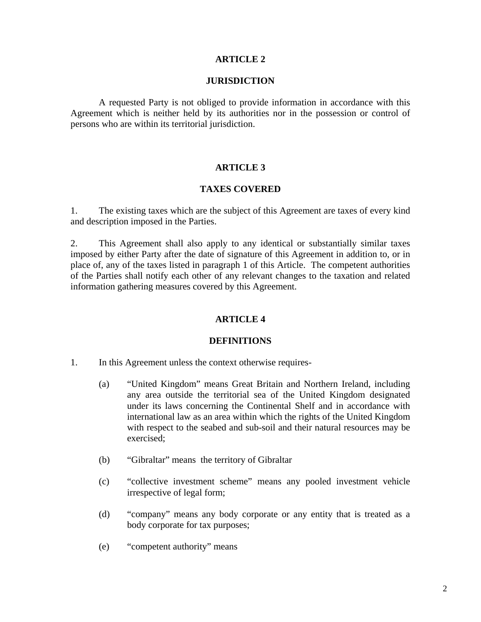#### **ARTICLE 2**

#### **JURISDICTION**

 A requested Party is not obliged to provide information in accordance with this Agreement which is neither held by its authorities nor in the possession or control of persons who are within its territorial jurisdiction.

#### **ARTICLE 3**

#### **TAXES COVERED**

1. The existing taxes which are the subject of this Agreement are taxes of every kind and description imposed in the Parties.

2. This Agreement shall also apply to any identical or substantially similar taxes imposed by either Party after the date of signature of this Agreement in addition to, or in place of, any of the taxes listed in paragraph 1 of this Article. The competent authorities of the Parties shall notify each other of any relevant changes to the taxation and related information gathering measures covered by this Agreement.

### **ARTICLE 4**

#### **DEFINITIONS**

- 1. In this Agreement unless the context otherwise requires-
	- (a) "United Kingdom" means Great Britain and Northern Ireland, including any area outside the territorial sea of the United Kingdom designated under its laws concerning the Continental Shelf and in accordance with international law as an area within which the rights of the United Kingdom with respect to the seabed and sub-soil and their natural resources may be exercised;
	- (b) "Gibraltar" means the territory of Gibraltar
	- (c) "collective investment scheme" means any pooled investment vehicle irrespective of legal form;
	- (d) "company" means any body corporate or any entity that is treated as a body corporate for tax purposes;
	- (e) "competent authority" means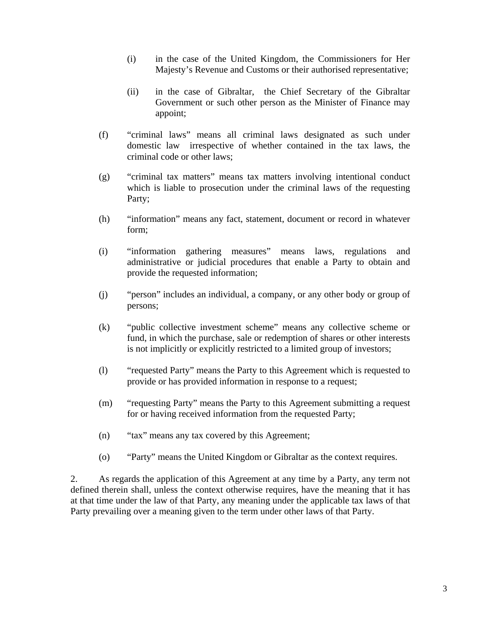- (i) in the case of the United Kingdom, the Commissioners for Her Majesty's Revenue and Customs or their authorised representative;
- (ii) in the case of Gibraltar, the Chief Secretary of the Gibraltar Government or such other person as the Minister of Finance may appoint;
- (f) "criminal laws" means all criminal laws designated as such under domestic law irrespective of whether contained in the tax laws, the criminal code or other laws;
- (g) "criminal tax matters" means tax matters involving intentional conduct which is liable to prosecution under the criminal laws of the requesting Party;
- (h) "information" means any fact, statement, document or record in whatever form;
- (i) "information gathering measures" means laws, regulations and administrative or judicial procedures that enable a Party to obtain and provide the requested information;
- (j) "person" includes an individual, a company, or any other body or group of persons;
- (k) "public collective investment scheme" means any collective scheme or fund, in which the purchase, sale or redemption of shares or other interests is not implicitly or explicitly restricted to a limited group of investors;
- (l) "requested Party" means the Party to this Agreement which is requested to provide or has provided information in response to a request;
- (m) "requesting Party" means the Party to this Agreement submitting a request for or having received information from the requested Party;
- (n) "tax" means any tax covered by this Agreement;
- (o) "Party" means the United Kingdom or Gibraltar as the context requires.

2. As regards the application of this Agreement at any time by a Party, any term not defined therein shall, unless the context otherwise requires, have the meaning that it has at that time under the law of that Party, any meaning under the applicable tax laws of that Party prevailing over a meaning given to the term under other laws of that Party.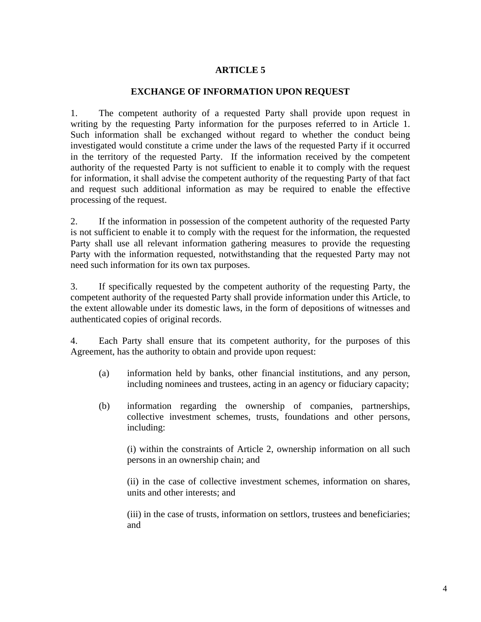# **ARTICLE 5**

### **EXCHANGE OF INFORMATION UPON REQUEST**

1. The competent authority of a requested Party shall provide upon request in writing by the requesting Party information for the purposes referred to in Article 1. Such information shall be exchanged without regard to whether the conduct being investigated would constitute a crime under the laws of the requested Party if it occurred in the territory of the requested Party. If the information received by the competent authority of the requested Party is not sufficient to enable it to comply with the request for information, it shall advise the competent authority of the requesting Party of that fact and request such additional information as may be required to enable the effective processing of the request.

2. If the information in possession of the competent authority of the requested Party is not sufficient to enable it to comply with the request for the information, the requested Party shall use all relevant information gathering measures to provide the requesting Party with the information requested, notwithstanding that the requested Party may not need such information for its own tax purposes.

3. If specifically requested by the competent authority of the requesting Party, the competent authority of the requested Party shall provide information under this Article, to the extent allowable under its domestic laws, in the form of depositions of witnesses and authenticated copies of original records.

4. Each Party shall ensure that its competent authority, for the purposes of this Agreement, has the authority to obtain and provide upon request:

- (a) information held by banks, other financial institutions, and any person, including nominees and trustees, acting in an agency or fiduciary capacity;
- (b) information regarding the ownership of companies, partnerships, collective investment schemes, trusts, foundations and other persons, including:

(i) within the constraints of Article 2, ownership information on all such persons in an ownership chain; and

(ii) in the case of collective investment schemes, information on shares, units and other interests; and

(iii) in the case of trusts, information on settlors, trustees and beneficiaries; and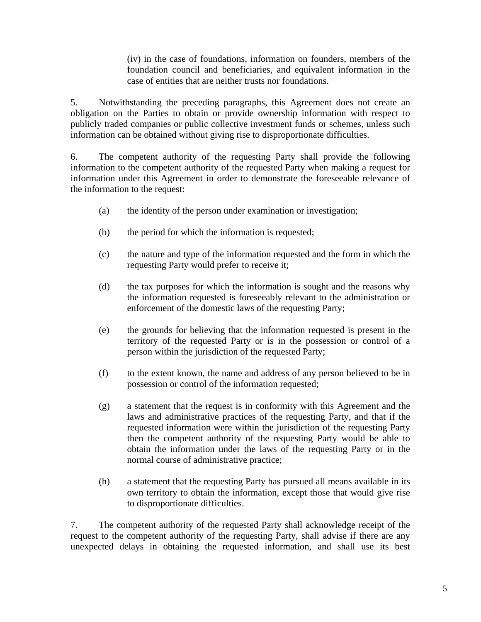(iv) in the case of foundations, information on founders, members of the foundation council and beneficiaries, and equivalent information in the case of entities that are neither trusts nor foundations.

5. Notwithstanding the preceding paragraphs, this Agreement does not create an obligation on the Parties to obtain or provide ownership information with respect to publicly traded companies or public collective investment funds or schemes, unless such information can be obtained without giving rise to disproportionate difficulties.

6. The competent authority of the requesting Party shall provide the following information to the competent authority of the requested Party when making a request for information under this Agreement in order to demonstrate the foreseeable relevance of the information to the request:

- (a) the identity of the person under examination or investigation;
- (b) the period for which the information is requested;
- (c) the nature and type of the information requested and the form in which the requesting Party would prefer to receive it;
- (d) the tax purposes for which the information is sought and the reasons why the information requested is foreseeably relevant to the administration or enforcement of the domestic laws of the requesting Party;
- (e) the grounds for believing that the information requested is present in the territory of the requested Party or is in the possession or control of a person within the jurisdiction of the requested Party;
- (f) to the extent known, the name and address of any person believed to be in possession or control of the information requested;
- (g) a statement that the request is in conformity with this Agreement and the laws and administrative practices of the requesting Party, and that if the requested information were within the jurisdiction of the requesting Party then the competent authority of the requesting Party would be able to obtain the information under the laws of the requesting Party or in the normal course of administrative practice;
- (h) a statement that the requesting Party has pursued all means available in its own territory to obtain the information, except those that would give rise to disproportionate difficulties.

7. The competent authority of the requested Party shall acknowledge receipt of the request to the competent authority of the requesting Party, shall advise if there are any unexpected delays in obtaining the requested information, and shall use its best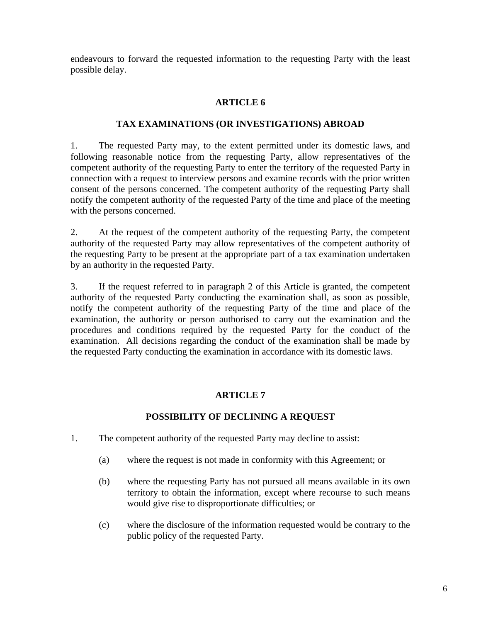endeavours to forward the requested information to the requesting Party with the least possible delay.

# **ARTICLE 6**

### **TAX EXAMINATIONS (OR INVESTIGATIONS) ABROAD**

1. The requested Party may, to the extent permitted under its domestic laws, and following reasonable notice from the requesting Party, allow representatives of the competent authority of the requesting Party to enter the territory of the requested Party in connection with a request to interview persons and examine records with the prior written consent of the persons concerned. The competent authority of the requesting Party shall notify the competent authority of the requested Party of the time and place of the meeting with the persons concerned.

2. At the request of the competent authority of the requesting Party, the competent authority of the requested Party may allow representatives of the competent authority of the requesting Party to be present at the appropriate part of a tax examination undertaken by an authority in the requested Party.

3. If the request referred to in paragraph 2 of this Article is granted, the competent authority of the requested Party conducting the examination shall, as soon as possible, notify the competent authority of the requesting Party of the time and place of the examination, the authority or person authorised to carry out the examination and the procedures and conditions required by the requested Party for the conduct of the examination. All decisions regarding the conduct of the examination shall be made by the requested Party conducting the examination in accordance with its domestic laws.

# **ARTICLE 7**

# **POSSIBILITY OF DECLINING A REQUEST**

- 1. The competent authority of the requested Party may decline to assist:
	- (a) where the request is not made in conformity with this Agreement; or
	- (b) where the requesting Party has not pursued all means available in its own territory to obtain the information, except where recourse to such means would give rise to disproportionate difficulties; or
	- (c) where the disclosure of the information requested would be contrary to the public policy of the requested Party.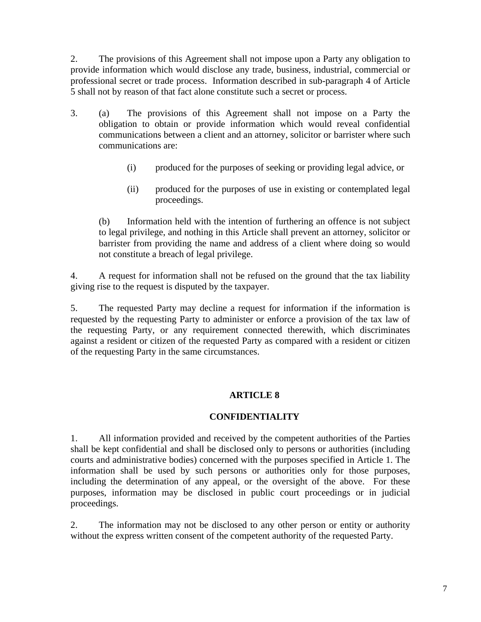2. The provisions of this Agreement shall not impose upon a Party any obligation to provide information which would disclose any trade, business, industrial, commercial or professional secret or trade process. Information described in sub-paragraph 4 of Article 5 shall not by reason of that fact alone constitute such a secret or process.

- 3. (a) The provisions of this Agreement shall not impose on a Party the obligation to obtain or provide information which would reveal confidential communications between a client and an attorney, solicitor or barrister where such communications are:
	- (i) produced for the purposes of seeking or providing legal advice, or
	- (ii) produced for the purposes of use in existing or contemplated legal proceedings.

(b) Information held with the intention of furthering an offence is not subject to legal privilege, and nothing in this Article shall prevent an attorney, solicitor or barrister from providing the name and address of a client where doing so would not constitute a breach of legal privilege.

4. A request for information shall not be refused on the ground that the tax liability giving rise to the request is disputed by the taxpayer.

5. The requested Party may decline a request for information if the information is requested by the requesting Party to administer or enforce a provision of the tax law of the requesting Party, or any requirement connected therewith, which discriminates against a resident or citizen of the requested Party as compared with a resident or citizen of the requesting Party in the same circumstances.

# **ARTICLE 8**

# **CONFIDENTIALITY**

1. All information provided and received by the competent authorities of the Parties shall be kept confidential and shall be disclosed only to persons or authorities (including courts and administrative bodies) concerned with the purposes specified in Article 1. The information shall be used by such persons or authorities only for those purposes, including the determination of any appeal, or the oversight of the above. For these purposes, information may be disclosed in public court proceedings or in judicial proceedings.

2. The information may not be disclosed to any other person or entity or authority without the express written consent of the competent authority of the requested Party.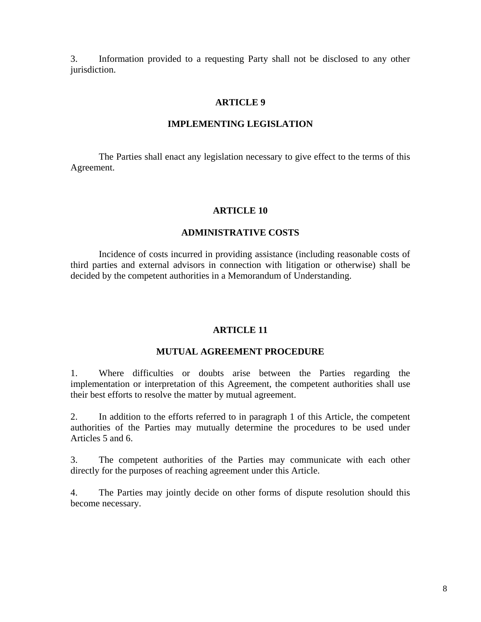3. Information provided to a requesting Party shall not be disclosed to any other jurisdiction.

#### **ARTICLE 9**

#### **IMPLEMENTING LEGISLATION**

 The Parties shall enact any legislation necessary to give effect to the terms of this Agreement.

#### **ARTICLE 10**

#### **ADMINISTRATIVE COSTS**

Incidence of costs incurred in providing assistance (including reasonable costs of third parties and external advisors in connection with litigation or otherwise) shall be decided by the competent authorities in a Memorandum of Understanding.

#### **ARTICLE 11**

#### **MUTUAL AGREEMENT PROCEDURE**

1. Where difficulties or doubts arise between the Parties regarding the implementation or interpretation of this Agreement, the competent authorities shall use their best efforts to resolve the matter by mutual agreement.

2. In addition to the efforts referred to in paragraph 1 of this Article, the competent authorities of the Parties may mutually determine the procedures to be used under Articles 5 and 6.

3. The competent authorities of the Parties may communicate with each other directly for the purposes of reaching agreement under this Article.

4. The Parties may jointly decide on other forms of dispute resolution should this become necessary.